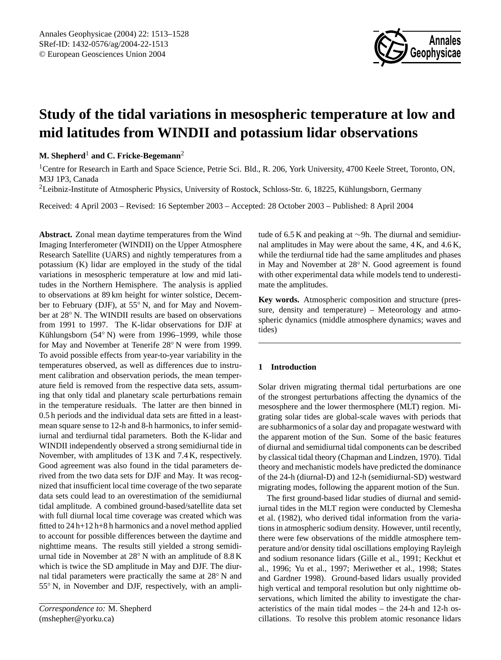

# **Study of the tidal variations in mesospheric temperature at low and mid latitudes from WINDII and potassium lidar observations**

## **M. Shepherd**<sup>1</sup> **and C. Fricke-Begemann**<sup>2</sup>

<sup>1</sup>Centre for Research in Earth and Space Science, Petrie Sci. Bld., R. 206, York University, 4700 Keele Street, Toronto, ON, M3J 1P3, Canada

<sup>2</sup>Leibniz-Institute of Atmospheric Physics, University of Rostock, Schloss-Str. 6, 18225, Kühlungsborn, Germany

Received: 4 April 2003 – Revised: 16 September 2003 – Accepted: 28 October 2003 – Published: 8 April 2004

**Abstract.** Zonal mean daytime temperatures from the Wind Imaging Interferometer (WINDII) on the Upper Atmosphere Research Satellite (UARS) and nightly temperatures from a potassium (K) lidar are employed in the study of the tidal variations in mesospheric temperature at low and mid latitudes in the Northern Hemisphere. The analysis is applied to observations at 89 km height for winter solstice, December to February (DJF), at 55◦ N, and for May and November at 28◦ N. The WINDII results are based on observations from 1991 to 1997. The K-lidar observations for DJF at Kühlungsborn (54° N) were from 1996–1999, while those for May and November at Tenerife 28◦ N were from 1999. To avoid possible effects from year-to-year variability in the temperatures observed, as well as differences due to instrument calibration and observation periods, the mean temperature field is removed from the respective data sets, assuming that only tidal and planetary scale perturbations remain in the temperature residuals. The latter are then binned in 0.5 h periods and the individual data sets are fitted in a leastmean square sense to 12-h and 8-h harmonics, to infer semidiurnal and terdiurnal tidal parameters. Both the K-lidar and WINDII independently observed a strong semidiurnal tide in November, with amplitudes of 13 K and 7.4 K, respectively. Good agreement was also found in the tidal parameters derived from the two data sets for DJF and May. It was recognized that insufficient local time coverage of the two separate data sets could lead to an overestimation of the semidiurnal tidal amplitude. A combined ground-based/satellite data set with full diurnal local time coverage was created which was fitted to 24 h+12 h+8 h harmonics and a novel method applied to account for possible differences between the daytime and nighttime means. The results still yielded a strong semidiurnal tide in November at 28◦ N with an amplitude of 8.8 K which is twice the SD amplitude in May and DJF. The diurnal tidal parameters were practically the same at 28<sup>°</sup>N and 55◦ N, in November and DJF, respectively, with an amplitude of 6.5 K and peaking at ∼9h. The diurnal and semidiurnal amplitudes in May were about the same, 4 K, and 4.6 K, while the terdiurnal tide had the same amplitudes and phases in May and November at 28◦ N. Good agreement is found with other experimental data while models tend to underestimate the amplitudes.

**Key words.** Atmospheric composition and structure (pressure, density and temperature) – Meteorology and atmospheric dynamics (middle atmosphere dynamics; waves and tides)

## **1 Introduction**

Solar driven migrating thermal tidal perturbations are one of the strongest perturbations affecting the dynamics of the mesosphere and the lower thermosphere (MLT) region. Migrating solar tides are global-scale waves with periods that are subharmonics of a solar day and propagate westward with the apparent motion of the Sun. Some of the basic features of diurnal and semidiurnal tidal components can be described by classical tidal theory (Chapman and Lindzen, 1970). Tidal theory and mechanistic models have predicted the dominance of the 24-h (diurnal-D) and 12-h (semidiurnal-SD) westward migrating modes, following the apparent motion of the Sun.

The first ground-based lidar studies of diurnal and semidiurnal tides in the MLT region were conducted by Clemesha et al. (1982), who derived tidal information from the variations in atmospheric sodium density. However, until recently, there were few observations of the middle atmosphere temperature and/or density tidal oscillations employing Rayleigh and sodium resonance lidars (Gille et al., 1991; Keckhut et al., 1996; Yu et al., 1997; Meriwether et al., 1998; States and Gardner 1998). Ground-based lidars usually provided high vertical and temporal resolution but only nighttime observations, which limited the ability to investigate the characteristics of the main tidal modes – the 24-h and 12-h oscillations. To resolve this problem atomic resonance lidars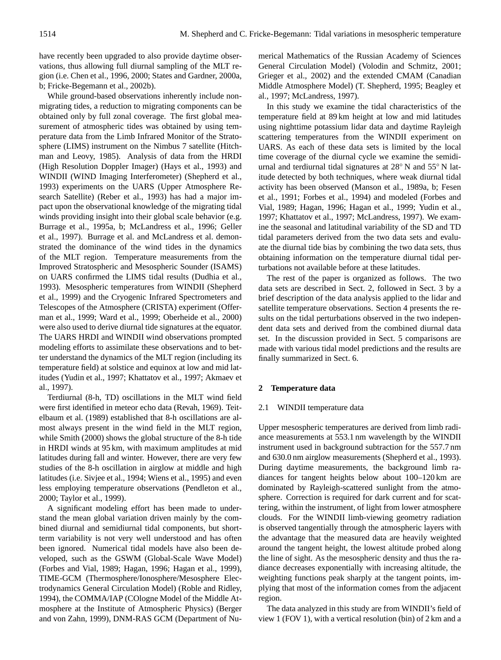have recently been upgraded to also provide daytime observations, thus allowing full diurnal sampling of the MLT region (i.e. Chen et al., 1996, 2000; States and Gardner, 2000a, b; Fricke-Begemann et al., 2002b).

While ground-based observations inherently include nonmigrating tides, a reduction to migrating components can be obtained only by full zonal coverage. The first global measurement of atmospheric tides was obtained by using temperature data from the Limb Infrared Monitor of the Stratosphere (LIMS) instrument on the Nimbus 7 satellite (Hitchman and Leovy, 1985). Analysis of data from the HRDI (High Resolution Doppler Imager) (Hays et al., 1993) and WINDII (WIND Imaging Interferometer) (Shepherd et al., 1993) experiments on the UARS (Upper Atmosphere Research Satellite) (Reber et al., 1993) has had a major impact upon the observational knowledge of the migrating tidal winds providing insight into their global scale behavior (e.g. Burrage et al., 1995a, b; McLandress et al., 1996; Geller et al., 1997). Burrage et al. and McLandress et al. demonstrated the dominance of the wind tides in the dynamics of the MLT region. Temperature measurements from the Improved Stratospheric and Mesospheric Sounder (ISAMS) on UARS confirmed the LIMS tidal results (Dudhia et al., 1993). Mesospheric temperatures from WINDII (Shepherd et al., 1999) and the Cryogenic Infrared Spectrometers and Telescopes of the Atmosphere (CRISTA) experiment (Offerman et al., 1999; Ward et al., 1999; Oberheide et al., 2000) were also used to derive diurnal tide signatures at the equator. The UARS HRDI and WINDII wind observations prompted modeling efforts to assimilate these observations and to better understand the dynamics of the MLT region (including its temperature field) at solstice and equinox at low and mid latitudes (Yudin et al., 1997; Khattatov et al., 1997; Akmaev et al., 1997).

Terdiurnal (8-h, TD) oscillations in the MLT wind field were first identified in meteor echo data (Revah, 1969). Teitelbaum et al. (1989) established that 8-h oscillations are almost always present in the wind field in the MLT region, while Smith (2000) shows the global structure of the 8-h tide in HRDI winds at 95 km, with maximum amplitudes at mid latitudes during fall and winter. However, there are very few studies of the 8-h oscillation in airglow at middle and high latitudes (i.e. Sivjee et al., 1994; Wiens et al., 1995) and even less employing temperature observations (Pendleton et al., 2000; Taylor et al., 1999).

A significant modeling effort has been made to understand the mean global variation driven mainly by the combined diurnal and semidiurnal tidal components, but shortterm variability is not very well understood and has often been ignored. Numerical tidal models have also been developed, such as the GSWM (Global-Scale Wave Model) (Forbes and Vial, 1989; Hagan, 1996; Hagan et al., 1999), TIME-GCM (Thermosphere/Ionosphere/Mesosphere Electrodynamics General Circulation Model) (Roble and Ridley, 1994), the COMMA/IAP (COlogne Model of the Middle Atmosphere at the Institute of Atmospheric Physics) (Berger and von Zahn, 1999), DNM-RAS GCM (Department of Numerical Mathematics of the Russian Academy of Sciences General Circulation Model) (Volodin and Schmitz, 2001; Grieger et al., 2002) and the extended CMAM (Canadian Middle Atmosphere Model) (T. Shepherd, 1995; Beagley et al., 1997; McLandress, 1997).

In this study we examine the tidal characteristics of the temperature field at 89 km height at low and mid latitudes using nighttime potassium lidar data and daytime Rayleigh scattering temperatures from the WINDII experiment on UARS. As each of these data sets is limited by the local time coverage of the diurnal cycle we examine the semidiurnal and terdiurnal tidal signatures at 28◦ N and 55◦ N latitude detected by both techniques, where weak diurnal tidal activity has been observed (Manson et al., 1989a, b; Fesen et al., 1991; Forbes et al., 1994) and modeled (Forbes and Vial, 1989; Hagan, 1996; Hagan et al., 1999; Yudin et al., 1997; Khattatov et al., 1997; McLandress, 1997). We examine the seasonal and latitudinal variability of the SD and TD tidal parameters derived from the two data sets and evaluate the diurnal tide bias by combining the two data sets, thus obtaining information on the temperature diurnal tidal perturbations not available before at these latitudes.

The rest of the paper is organized as follows. The two data sets are described in Sect. 2, followed in Sect. 3 by a brief description of the data analysis applied to the lidar and satellite temperature observations. Section 4 presents the results on the tidal perturbations observed in the two independent data sets and derived from the combined diurnal data set. In the discussion provided in Sect. 5 comparisons are made with various tidal model predictions and the results are finally summarized in Sect. 6.

## **2 Temperature data**

## 2.1 WINDII temperature data

Upper mesospheric temperatures are derived from limb radiance measurements at 553.1 nm wavelength by the WINDII instrument used in background subtraction for the 557.7 nm and 630.0 nm airglow measurements (Shepherd et al., 1993). During daytime measurements, the background limb radiances for tangent heights below about 100–120 km are dominated by Rayleigh-scattered sunlight from the atmosphere. Correction is required for dark current and for scattering, within the instrument, of light from lower atmosphere clouds. For the WINDII limb-viewing geometry radiation is observed tangentially through the atmospheric layers with the advantage that the measured data are heavily weighted around the tangent height, the lowest altitude probed along the line of sight. As the mesospheric density and thus the radiance decreases exponentially with increasing altitude, the weighting functions peak sharply at the tangent points, implying that most of the information comes from the adjacent region.

The data analyzed in this study are from WINDII's field of view 1 (FOV 1), with a vertical resolution (bin) of 2 km and a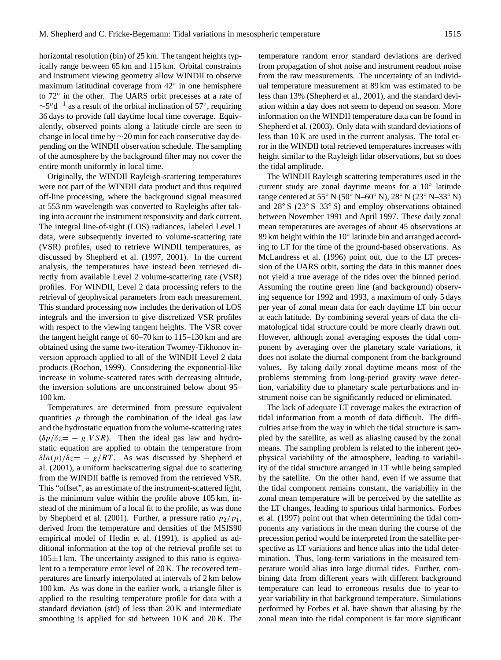horizontal resolution (bin) of 25 km. The tangent heights typically range between 65 km and 115 km. Orbital constraints and instrument viewing geometry allow WINDII to observe maximum latitudinal coverage from 42◦ in one hemisphere to 72◦ in the other. The UARS orbit precesses at a rate of  $\sim$ 5<sup>o</sup>d<sup>-1</sup> as a result of the orbital inclination of 57°, requiring 36 days to provide full daytime local time coverage. Equivalently, observed points along a latitude circle are seen to change in local time by ∼20 min for each consecutive day depending on the WINDII observation schedule. The sampling of the atmosphere by the background filter may not cover the entire month uniformly in local time.

Originally, the WINDII Rayleigh-scattering temperatures were not part of the WINDII data product and thus required off-line processing, where the background signal measured at 553 nm wavelength was converted to Rayleighs after taking into account the instrument responsivity and dark current. The integral line-of-sight (LOS) radiances, labeled Level 1 data, were subsequently inverted to volume-scattering rate (VSR) profiles, used to retrieve WINDII temperatures, as discussed by Shepherd et al. (1997, 2001). In the current analysis, the temperatures have instead been retrieved directly from available Level 2 volume-scattering rate (VSR) profiles. For WINDII, Level 2 data processing refers to the retrieval of geophysical parameters from each measurement. This standard processing now includes the derivation of LOS integrals and the inversion to give discretized VSR profiles with respect to the viewing tangent heights. The VSR cover the tangent height range of 60–70 km to 115–130 km and are obtained using the same two-iteration Twomey-Tikhonov inversion approach applied to all of the WINDII Level 2 data products (Rochon, 1999). Considering the exponential-like increase in volume-scattered rates with decreasing altitude, the inversion solutions are unconstrained below about 95– 100 km.

Temperatures are determined from pressure equivalent quantities  $p$  through the combination of the ideal gas law and the hydrostatic equation from the volume-scattering rates  $(\delta p/\delta z = -g.VSR)$ . Then the ideal gas law and hydrostatic equation are applied to obtain the temperature from  $\delta ln(p)/\delta z = -g/RT$ . As was discussed by Shepherd et al. (2001), a uniform backscattering signal due to scattering from the WINDII baffle is removed from the retrieved VSR. This "offset", as an estimate of the instrument-scattered light, is the minimum value within the profile above 105 km, instead of the minimum of a local fit to the profile, as was done by Shepherd et al. (2001). Further, a pressure ratio  $p_2/p_1$ , derived from the temperature and densities of the MSIS90 empirical model of Hedin et al. (1991), is applied as additional information at the top of the retrieval profile set to  $105\pm1$  km. The uncertainty assigned to this ratio is equivalent to a temperature error level of 20 K. The recovered temperatures are linearly interpolated at intervals of 2 km below 100 km. As was done in the earlier work, a triangle filter is applied to the resulting temperature profile for data with a standard deviation (std) of less than 20 K and intermediate smoothing is applied for std between 10 K and 20 K. The temperature random error standard deviations are derived from propagation of shot noise and instrument readout noise from the raw measurements. The uncertainty of an individual temperature measurement at 89 km was estimated to be less than 13% (Shepherd et al., 2001), and the standard deviation within a day does not seem to depend on season. More information on the WINDII temperature data can be found in Shepherd et al. (2003). Only data with standard deviations of less than 10 K are used in the current analysis. The total error in the WINDII total retrieved temperatures increases with height similar to the Rayleigh lidar observations, but so does the tidal amplitude.

The WINDII Rayleigh scattering temperatures used in the current study are zonal daytime means for a 10◦ latitude range centered at 55◦ N (50◦ N–60◦ N), 28◦ N (23◦ N–33◦ N) and 28◦ S (23◦ S–33◦ S) and employ observations obtained between November 1991 and April 1997. These daily zonal mean temperatures are averages of about 45 observations at 89 km height within the 10° latitude bin and arranged according to LT for the time of the ground-based observations. As McLandress et al. (1996) point out, due to the LT precession of the UARS orbit, sorting the data in this manner does not yield a true average of the tides over the binned period. Assuming the routine green line (and background) observing sequence for 1992 and 1993, a maximum of only 5 days per year of zonal mean data for each daytime LT bin occur at each latitude. By combining several years of data the climatological tidal structure could be more clearly drawn out. However, although zonal averaging exposes the tidal component by averaging over the planetary scale variations, it does not isolate the diurnal component from the background values. By taking daily zonal daytime means most of the problems stemming from long-period gravity wave detection, variability due to planetary scale perturbations and instrument noise can be significantly reduced or eliminated.

The lack of adequate LT coverage makes the extraction of tidal information from a month of data difficult. The difficulties arise from the way in which the tidal structure is sampled by the satellite, as well as aliasing caused by the zonal means. The sampling problem is related to the inherent geophysical variability of the atmosphere, leading to variability of the tidal structure arranged in LT while being sampled by the satellite. On the other hand, even if we assume that the tidal component remains constant, the variability in the zonal mean temperature will be perceived by the satellite as the LT changes, leading to spurious tidal harmonics. Forbes et al. (1997) point out that when determining the tidal components any variations in the mean during the course of the precession period would be interpreted from the satellite perspective as LT variations and hence alias into the tidal determination. Thus, long-term variations in the measured temperature would alias into large diurnal tides. Further, combining data from different years with different background temperature can lead to erroneous results due to year-toyear variability in that background temperature. Simulations performed by Forbes et al. have shown that aliasing by the zonal mean into the tidal component is far more significant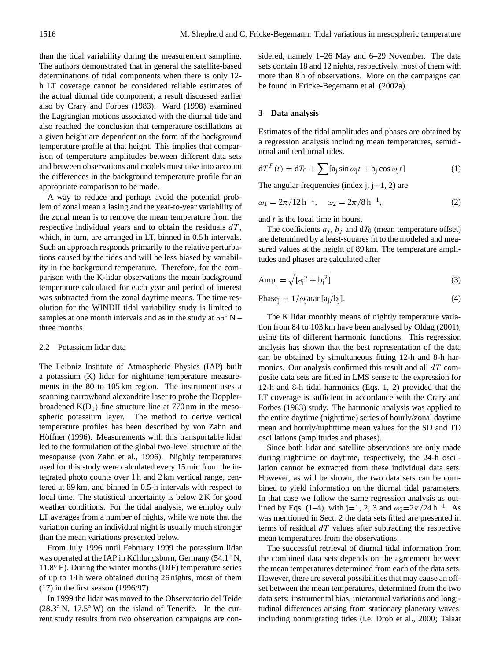than the tidal variability during the measurement sampling. The authors demonstrated that in general the satellite-based determinations of tidal components when there is only 12 h LT coverage cannot be considered reliable estimates of the actual diurnal tide component, a result discussed earlier also by Crary and Forbes (1983). Ward (1998) examined the Lagrangian motions associated with the diurnal tide and also reached the conclusion that temperature oscillations at a given height are dependent on the form of the background temperature profile at that height. This implies that comparison of temperature amplitudes between different data sets and between observations and models must take into account the differences in the background temperature profile for an appropriate comparison to be made.

A way to reduce and perhaps avoid the potential problem of zonal mean aliasing and the year-to-year variability of the zonal mean is to remove the mean temperature from the respective individual years and to obtain the residuals  $dT$ , which, in turn, are arranged in LT, binned in 0.5 h intervals. Such an approach responds primarily to the relative perturbations caused by the tides and will be less biased by variability in the background temperature. Therefore, for the comparison with the K-lidar observations the mean background temperature calculated for each year and period of interest was subtracted from the zonal daytime means. The time resolution for the WINDII tidal variability study is limited to samples at one month intervals and as in the study at  $55° N$ three months.

#### 2.2 Potassium lidar data

The Leibniz Institute of Atmospheric Physics (IAP) built a potassium (K) lidar for nighttime temperature measurements in the 80 to 105 km region. The instrument uses a scanning narrowband alexandrite laser to probe the Dopplerbroadened  $K(D_1)$  fine structure line at 770 nm in the mesospheric potassium layer. The method to derive vertical temperature profiles has been described by von Zahn and Höffner (1996). Measurements with this transportable lidar led to the formulation of the global two-level structure of the mesopause (von Zahn et al., 1996). Nightly temperatures used for this study were calculated every 15 min from the integrated photo counts over 1 h and 2 km vertical range, centered at 89 km, and binned in 0.5-h intervals with respect to local time. The statistical uncertainty is below 2 K for good weather conditions. For the tidal analysis, we employ only LT averages from a number of nights, while we note that the variation during an individual night is usually much stronger than the mean variations presented below.

From July 1996 until February 1999 the potassium lidar was operated at the IAP in Kühlungsborn, Germany (54.1° N, 11.8◦ E). During the winter months (DJF) temperature series of up to 14 h were obtained during 26 nights, most of them (17) in the first season (1996/97).

In 1999 the lidar was moved to the Observatorio del Teide (28.3◦ N, 17.5◦ W) on the island of Tenerife. In the current study results from two observation campaigns are considered, namely 1–26 May and 6–29 November. The data sets contain 18 and 12 nights, respectively, most of them with more than 8 h of observations. More on the campaigns can be found in Fricke-Begemann et al. (2002a).

## **3 Data analysis**

Estimates of the tidal amplitudes and phases are obtained by a regression analysis including mean temperatures, semidiurnal and terdiurnal tides.

$$
dT^{F}(t) = dT_0 + \sum [a_j \sin \omega_j t + b_j \cos \omega_j t]
$$
 (1)

The angular frequencies (index j,  $j=1, 2$ ) are

$$
\omega_1 = 2\pi / 12 \,\mathrm{h}^{-1}, \quad \omega_2 = 2\pi / 8 \,\mathrm{h}^{-1}, \tag{2}
$$

and t is the local time in hours.

The coefficients  $a_j$ ,  $b_j$  and  $dT_0$  (mean temperature offset) are determined by a least-squares fit to the modeled and measured values at the height of 89 km. The temperature amplitudes and phases are calculated after

$$
Amp_j = \sqrt{[a_j^2 + b_j^2]}
$$
 (3)

$$
Phase_j = 1/\omega_j \text{atan}[a_j/b_j]. \tag{4}
$$

The K lidar monthly means of nightly temperature variation from 84 to 103 km have been analysed by Oldag (2001), using fits of different harmonic functions. This regression analysis has shown that the best representation of the data can be obtained by simultaneous fitting 12-h and 8-h harmonics. Our analysis confirmed this result and all  $dT$  composite data sets are fitted in LMS sense to the expression for 12-h and 8-h tidal harmonics (Eqs. 1, 2) provided that the LT coverage is sufficient in accordance with the Crary and Forbes (1983) study. The harmonic analysis was applied to the entire daytime (nighttime) series of hourly/zonal daytime mean and hourly/nighttime mean values for the SD and TD oscillations (amplitudes and phases).

Since both lidar and satellite observations are only made during nighttime or daytime, respectively, the 24-h oscillation cannot be extracted from these individual data sets. However, as will be shown, the two data sets can be combined to yield information on the diurnal tidal parameters. In that case we follow the same regression analysis as outlined by Eqs. (1–4), with j=1, 2, 3 and  $\omega_3 = 2\pi/24$  h<sup>-1</sup>. As was mentioned in Sect. 2 the data sets fitted are presented in terms of residual  $dT$  values after subtracting the respective mean temperatures from the observations.

The successful retrieval of diurnal tidal information from the combined data sets depends on the agreement between the mean temperatures determined from each of the data sets. However, there are several possibilities that may cause an offset between the mean temperatures, determined from the two data sets: instrumental bias, interannual variations and longitudinal differences arising from stationary planetary waves, including nonmigrating tides (i.e. Drob et al., 2000; Talaat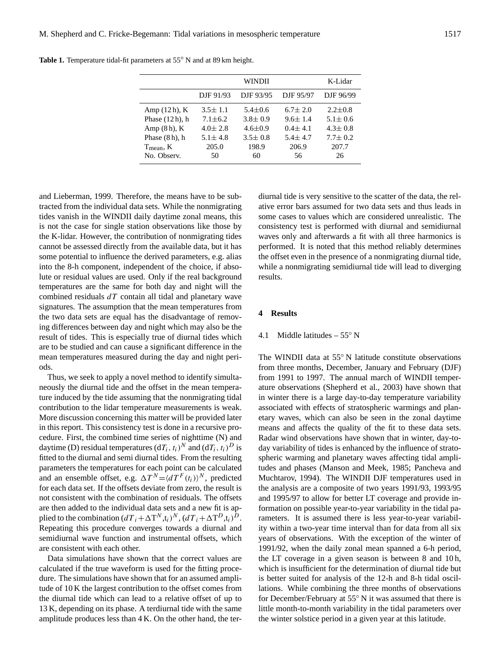|                   |               | WINDII        |               | K-Lidar       |
|-------------------|---------------|---------------|---------------|---------------|
|                   | DJF 91/93     | DJF 93/95     | DJF 95/97     | DJF 96/99     |
| Amp $(12h)$ , K   | $3.5 \pm 1.1$ | $5.4 \pm 0.6$ | $6.7 \pm 2.0$ | $2.2 \pm 0.8$ |
| Phase $(12h)$ , h | $7.1 \pm 6.2$ | $3.8 \pm 0.9$ | $9.6 \pm 1.4$ | $5.1 \pm 0.6$ |
| Amp $(8h)$ , K    | $4.0 \pm 2.8$ | $4.6 \pm 0.9$ | $0.4 \pm 4.1$ | $4.3 \pm 0.8$ |
| Phase $(8h)$ , h  | $5.1 \pm 4.8$ | $3.5 \pm 0.8$ | $5.4 \pm 4.7$ | $7.7 \pm 0.2$ |
| $T_{mean}$ , K    | 205.0         | 198.9         | 206.9         | 207.7         |
| No. Observ.       | 50            | 60            | 56            | 26            |

**Table 1.** Temperature tidal-fit parameters at 55◦ N and at 89 km height.

and Lieberman, 1999. Therefore, the means have to be subtracted from the individual data sets. While the nonmigrating tides vanish in the WINDII daily daytime zonal means, this is not the case for single station observations like those by the K-lidar. However, the contribution of nonmigrating tides cannot be assessed directly from the available data, but it has some potential to influence the derived parameters, e.g. alias into the 8-h component, independent of the choice, if absolute or residual values are used. Only if the real background temperatures are the same for both day and night will the combined residuals  $dT$  contain all tidal and planetary wave signatures. The assumption that the mean temperatures from the two data sets are equal has the disadvantage of removing differences between day and night which may also be the result of tides. This is especially true of diurnal tides which are to be studied and can cause a significant difference in the mean temperatures measured during the day and night periods.

Thus, we seek to apply a novel method to identify simultaneously the diurnal tide and the offset in the mean temperature induced by the tide assuming that the nonmigrating tidal contribution to the lidar temperature measurements is weak. More discussion concerning this matter will be provided later in this report. This consistency test is done in a recursive procedure. First, the combined time series of nighttime (N) and daytime (D) residual temperatures  $(dT_i, t_i)^N$  and  $(dT_i, t_i)^D$  is fitted to the diurnal and semi diurnal tides. From the resulting parameters the temperatures for each point can be calculated and an ensemble offset, e.g.  $\Delta T^N = \langle dT^F(t_i) \rangle^N$ , predicted for each data set. If the offsets deviate from zero, the result is not consistent with the combination of residuals. The offsets are then added to the individual data sets and a new fit is applied to the combination  $(dT_i + \Delta T^N, t_i)^N$ ,  $(dT_i + \Delta T^D, t_i)^D$ . Repeating this procedure converges towards a diurnal and semidiurnal wave function and instrumental offsets, which are consistent with each other.

Data simulations have shown that the correct values are calculated if the true waveform is used for the fitting procedure. The simulations have shown that for an assumed amplitude of 10 K the largest contribution to the offset comes from the diurnal tide which can lead to a relative offset of up to 13 K, depending on its phase. A terdiurnal tide with the same amplitude produces less than 4 K. On the other hand, the ter-

diurnal tide is very sensitive to the scatter of the data, the relative error bars assumed for two data sets and thus leads in some cases to values which are considered unrealistic. The consistency test is performed with diurnal and semidiurnal waves only and afterwards a fit with all three harmonics is performed. It is noted that this method reliably determines the offset even in the presence of a nonmigrating diurnal tide, while a nonmigrating semidiurnal tide will lead to diverging results.

## **4 Results**

## 4.1 Middle latitudes –  $55^{\circ}$  N

The WINDII data at 55◦ N latitude constitute observations from three months, December, January and February (DJF) from 1991 to 1997. The annual march of WINDII temperature observations (Shepherd et al., 2003) have shown that in winter there is a large day-to-day temperature variability associated with effects of stratospheric warmings and planetary waves, which can also be seen in the zonal daytime means and affects the quality of the fit to these data sets. Radar wind observations have shown that in winter, day-today variability of tides is enhanced by the influence of stratospheric warming and planetary waves affecting tidal amplitudes and phases (Manson and Meek, 1985; Pancheva and Muchtarov, 1994). The WINDII DJF temperatures used in the analysis are a composite of two years 1991/93, 1993/95 and 1995/97 to allow for better LT coverage and provide information on possible year-to-year variability in the tidal parameters. It is assumed there is less year-to-year variability within a two-year time interval than for data from all six years of observations. With the exception of the winter of 1991/92, when the daily zonal mean spanned a 6-h period, the LT coverage in a given season is between 8 and 10 h, which is insufficient for the determination of diurnal tide but is better suited for analysis of the 12-h and 8-h tidal oscillations. While combining the three months of observations for December/February at 55◦ N it was assumed that there is little month-to-month variability in the tidal parameters over the winter solstice period in a given year at this latitude.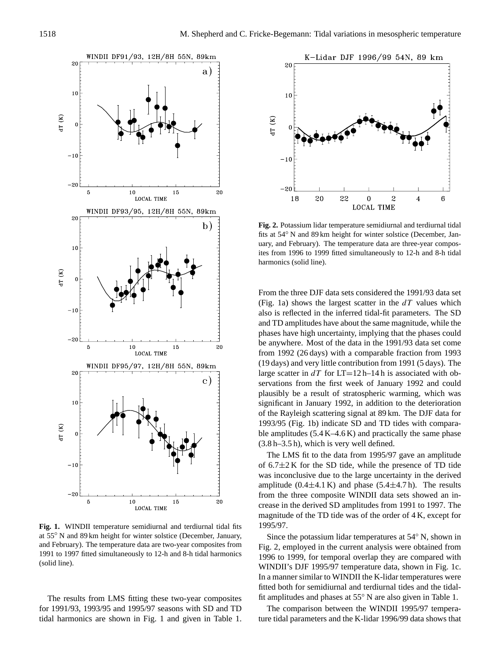

**Fig. 1.** WINDII temperature semidiurnal and terdiurnal tidal fits at 55◦ N and 89 km height for winter solstice (December, January, and February). The temperature data are two-year composites from 1991 to 1997 fitted simultaneously to 12-h and 8-h tidal harmonics (solid line).

The results from LMS fitting these two-year composites for 1991/93, 1993/95 and 1995/97 seasons with SD and TD tidal harmonics are shown in Fig. 1 and given in Table 1.



**Fig. 2.** Potassium lidar temperature semidiurnal and terdiurnal tidal fits at  $54°$  N and 89 km height for winter solstice (December, January, and February). The temperature data are three-year composites from 1996 to 1999 fitted simultaneously to 12-h and 8-h tidal harmonics (solid line).

From the three DJF data sets considered the 1991/93 data set (Fig. 1a) shows the largest scatter in the  $dT$  values which also is reflected in the inferred tidal-fit parameters. The SD and TD amplitudes have about the same magnitude, while the phases have high uncertainty, implying that the phases could be anywhere. Most of the data in the 1991/93 data set come from 1992 (26 days) with a comparable fraction from 1993 (19 days) and very little contribution from 1991 (5 days). The large scatter in  $dT$  for  $LT=12 h-14 h$  is associated with observations from the first week of January 1992 and could plausibly be a result of stratospheric warming, which was significant in January 1992, in addition to the deterioration of the Rayleigh scattering signal at 89 km. The DJF data for 1993/95 (Fig. 1b) indicate SD and TD tides with comparable amplitudes  $(5.4 K-4.6 K)$  and practically the same phase (3.8 h–3.5 h), which is very well defined.

The LMS fit to the data from 1995/97 gave an amplitude of  $6.7 \pm 2$  K for the SD tide, while the presence of TD tide was inconclusive due to the large uncertainty in the derived amplitude  $(0.4 \pm 4.1 \text{ K})$  and phase  $(5.4 \pm 4.7 \text{ h})$ . The results from the three composite WINDII data sets showed an increase in the derived SD amplitudes from 1991 to 1997. The magnitude of the TD tide was of the order of 4 K, except for 1995/97.

Since the potassium lidar temperatures at 54◦ N, shown in Fig. 2, employed in the current analysis were obtained from 1996 to 1999, for temporal overlap they are compared with WINDII's DJF 1995/97 temperature data, shown in Fig. 1c. In a manner similar to WINDII the K-lidar temperatures were fitted both for semidiurnal and terdiurnal tides and the tidalfit amplitudes and phases at 55◦ N are also given in Table 1.

The comparison between the WINDII 1995/97 temperature tidal parameters and the K-lidar 1996/99 data shows that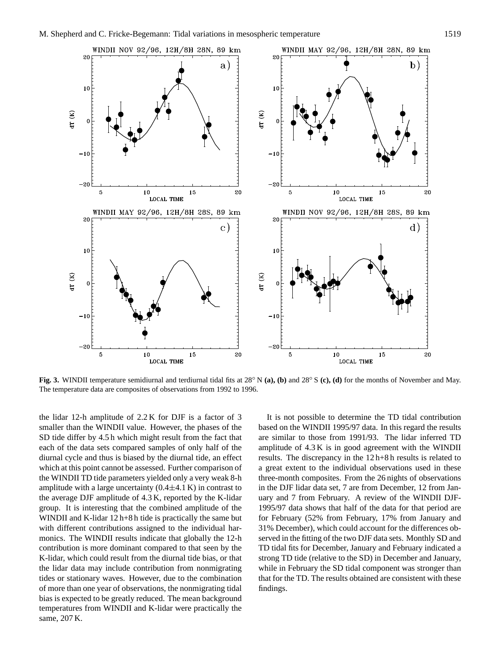

**Fig. 3.** WINDII temperature semidiurnal and terdiurnal tidal fits at 28◦ N **(a), (b)** and 28◦ S **(c), (d)** for the months of November and May. The temperature data are composites of observations from 1992 to 1996.

the lidar 12-h amplitude of 2.2 K for DJF is a factor of 3 smaller than the WINDII value. However, the phases of the SD tide differ by 4.5 h which might result from the fact that each of the data sets compared samples of only half of the diurnal cycle and thus is biased by the diurnal tide, an effect which at this point cannot be assessed. Further comparison of the WINDII TD tide parameters yielded only a very weak 8-h amplitude with a large uncertainty  $(0.4 \pm 4.1 \text{ K})$  in contrast to the average DJF amplitude of 4.3 K, reported by the K-lidar group. It is interesting that the combined amplitude of the WINDII and K-lidar 12 h+8 h tide is practically the same but with different contributions assigned to the individual harmonics. The WINDII results indicate that globally the 12-h contribution is more dominant compared to that seen by the K-lidar, which could result from the diurnal tide bias, or that the lidar data may include contribution from nonmigrating tides or stationary waves. However, due to the combination of more than one year of observations, the nonmigrating tidal bias is expected to be greatly reduced. The mean background temperatures from WINDII and K-lidar were practically the same, 207 K.

It is not possible to determine the TD tidal contribution based on the WINDII 1995/97 data. In this regard the results are similar to those from 1991/93. The lidar inferred TD amplitude of 4.3 K is in good agreement with the WINDII results. The discrepancy in the 12 h+8 h results is related to a great extent to the individual observations used in these three-month composites. From the 26 nights of observations in the DJF lidar data set, 7 are from December, 12 from January and 7 from February. A review of the WINDII DJF-1995/97 data shows that half of the data for that period are for February (52% from February, 17% from January and 31% December), which could account for the differences observed in the fitting of the two DJF data sets. Monthly SD and TD tidal fits for December, January and February indicated a strong TD tide (relative to the SD) in December and January, while in February the SD tidal component was stronger than that for the TD. The results obtained are consistent with these findings.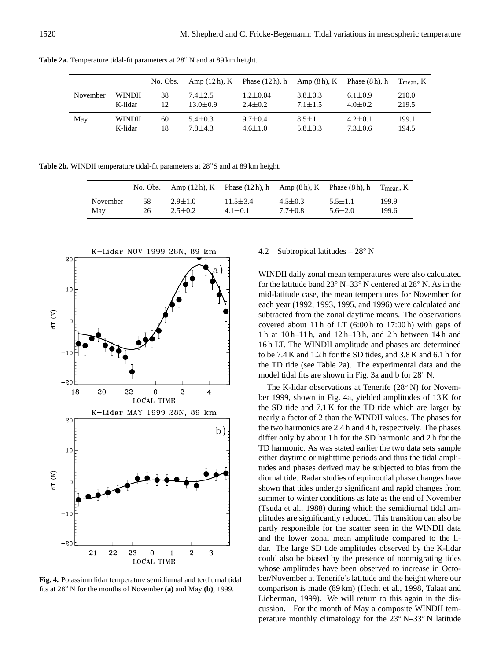|          |               | No. Obs. | Amp (12 h), K | Phase $(12h)$ , h | Amp $(8h)$ , K Phase $(8h)$ , h |               | $T_{mean}$ , K |
|----------|---------------|----------|---------------|-------------------|---------------------------------|---------------|----------------|
| November | <b>WINDII</b> | 38       | $7.4 \pm 2.5$ | $1.2 \pm 0.04$    | $3.8 \pm 0.3$                   | $6.1 \pm 0.9$ | 210.0          |
|          | K-lidar       | 12       | $13.0 + 0.9$  | $2.4 \pm 0.2$     | $7.1 \pm 1.5$                   | $4.0 \pm 0.2$ | 219.5          |
| May      | <b>WINDII</b> | 60       | $5.4 \pm 0.3$ | $9.7 + 0.4$       | $8.5 \pm 1.1$                   | $4.2 \pm 0.1$ | 199.1          |
|          | K-lidar       | 18       | $7.8 + 4.3$   | $4.6 \pm 1.0$     | $5.8 + 3.3$                     | $7.3 \pm 0.6$ | 194.5          |

**Table 2a.** Temperature tidal-fit parameters at 28◦ N and at 89 km height.

**Table 2b.** WINDII temperature tidal-fit parameters at 28◦S and at 89 km height.

|          | No. Obs. |               | Amp $(12h)$ , K Phase $(12h)$ , h Amp $(8h)$ , K Phase $(8h)$ , h |               |               | $T_{\text{mean}}$ , K |
|----------|----------|---------------|-------------------------------------------------------------------|---------------|---------------|-----------------------|
| November | 58       | $2.9 \pm 1.0$ | $11.5 \pm 3.4$                                                    | $4.5 \pm 0.3$ | $5.5 \pm 1.1$ | 199.9                 |
| May      | 26       | $2.5 \pm 0.2$ | $4.1 \pm 0.1$                                                     | $7.7 \pm 0.8$ | $5.6 \pm 2.0$ | 199.6                 |



**Fig. 4.** Potassium lidar temperature semidiurnal and terdiurnal tidal fits at 28◦ N for the months of November **(a)** and May **(b)**, 1999.

## 4.2 Subtropical latitudes –  $28°$  N

WINDII daily zonal mean temperatures were also calculated for the latitude band 23◦ N–33◦ N centered at 28◦ N. As in the mid-latitude case, the mean temperatures for November for each year (1992, 1993, 1995, and 1996) were calculated and subtracted from the zonal daytime means. The observations covered about 11 h of LT (6:00 h to 17:00 h) with gaps of 1 h at 10 h–11 h, and 12 h–13 h, and 2 h between 14 h and 16 h LT. The WINDII amplitude and phases are determined to be 7.4 K and 1.2 h for the SD tides, and 3.8 K and 6.1 h for the TD tide (see Table 2a). The experimental data and the model tidal fits are shown in Fig. 3a and b for 28◦ N.

The K-lidar observations at Tenerife (28◦ N) for November 1999, shown in Fig. 4a, yielded amplitudes of 13 K for the SD tide and 7.1 K for the TD tide which are larger by nearly a factor of 2 than the WINDII values. The phases for the two harmonics are 2.4 h and 4 h, respectively. The phases differ only by about 1 h for the SD harmonic and 2 h for the TD harmonic. As was stated earlier the two data sets sample either daytime or nighttime periods and thus the tidal amplitudes and phases derived may be subjected to bias from the diurnal tide. Radar studies of equinoctial phase changes have shown that tides undergo significant and rapid changes from summer to winter conditions as late as the end of November (Tsuda et al., 1988) during which the semidiurnal tidal amplitudes are significantly reduced. This transition can also be partly responsible for the scatter seen in the WINDII data and the lower zonal mean amplitude compared to the lidar. The large SD tide amplitudes observed by the K-lidar could also be biased by the presence of nonmigrating tides whose amplitudes have been observed to increase in October/November at Tenerife's latitude and the height where our comparison is made (89 km) (Hecht et al., 1998, Talaat and Lieberman, 1999). We will return to this again in the discussion. For the month of May a composite WINDII temperature monthly climatology for the 23◦ N–33◦ N latitude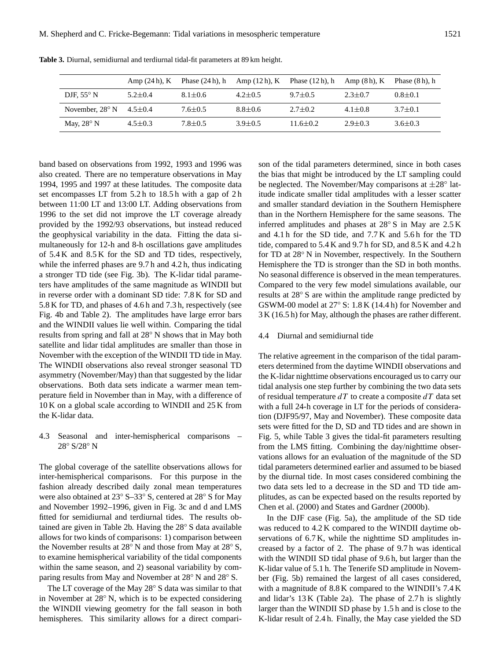|                          |               | Amp $(24 h)$ , K Phase $(24 h)$ , h |               | Amp $(12h)$ , K Phase $(12h)$ , h Amp $(8h)$ , K |               | Phase $(8h)$ , h |
|--------------------------|---------------|-------------------------------------|---------------|--------------------------------------------------|---------------|------------------|
| DJF, $55^{\circ}$ N      | $5.2 + 0.4$   | $8.1 \pm 0.6$                       | $4.2 + 0.5$   | $9.7 + 0.5$                                      | $2.3 \pm 0.7$ | $0.8 \pm 0.1$    |
| November, $28^{\circ}$ N | $4.5 \pm 0.4$ | $7.6 \pm 0.5$                       | $8.8 \pm 0.6$ | $2.7 + 0.2$                                      | $4.1 \pm 0.8$ | $3.7 \pm 0.1$    |
| May, $28^{\circ}$ N      | $4.5 \pm 0.3$ | $7.8 \pm 0.5$                       | $3.9 + 0.5$   | $11.6 \pm 0.2$                                   | $2.9 \pm 0.3$ | $3.6 \pm 0.3$    |

**Table 3.** Diurnal, semidiurnal and terdiurnal tidal-fit parameters at 89 km height.

band based on observations from 1992, 1993 and 1996 was also created. There are no temperature observations in May 1994, 1995 and 1997 at these latitudes. The composite data set encompasses LT from 5.2 h to 18.5 h with a gap of 2 h between 11:00 LT and 13:00 LT. Adding observations from 1996 to the set did not improve the LT coverage already provided by the 1992/93 observations, but instead reduced the geophysical variability in the data. Fitting the data simultaneously for 12-h and 8-h oscillations gave amplitudes of 5.4 K and 8.5 K for the SD and TD tides, respectively, while the inferred phases are 9.7 h and 4.2 h, thus indicating a stronger TD tide (see Fig. 3b). The K-lidar tidal parameters have amplitudes of the same magnitude as WINDII but in reverse order with a dominant SD tide: 7.8 K for SD and 5.8 K for TD, and phases of 4.6 h and 7.3 h, respectively (see Fig. 4b and Table 2). The amplitudes have large error bars and the WINDII values lie well within. Comparing the tidal results from spring and fall at 28◦ N shows that in May both satellite and lidar tidal amplitudes are smaller than those in November with the exception of the WINDII TD tide in May. The WINDII observations also reveal stronger seasonal TD asymmetry (November/May) than that suggested by the lidar observations. Both data sets indicate a warmer mean temperature field in November than in May, with a difference of 10 K on a global scale according to WINDII and 25 K from the K-lidar data.

4.3 Seasonal and inter-hemispherical comparisons – 28◦ S/28◦ N

The global coverage of the satellite observations allows for inter-hemispherical comparisons. For this purpose in the fashion already described daily zonal mean temperatures were also obtained at 23◦ S–33◦ S, centered at 28◦ S for May and November 1992–1996, given in Fig. 3c and d and LMS fitted for semidiurnal and terdiurnal tides. The results obtained are given in Table 2b. Having the 28◦ S data available allows for two kinds of comparisons: 1) comparison between the November results at 28◦ N and those from May at 28◦ S, to examine hemispherical variability of the tidal components within the same season, and 2) seasonal variability by comparing results from May and November at 28◦ N and 28◦ S.

The LT coverage of the May 28◦ S data was similar to that in November at 28◦ N, which is to be expected considering the WINDII viewing geometry for the fall season in both hemispheres. This similarity allows for a direct comparison of the tidal parameters determined, since in both cases the bias that might be introduced by the LT sampling could be neglected. The November/May comparisons at  $\pm 28^\circ$  latitude indicate smaller tidal amplitudes with a lesser scatter and smaller standard deviation in the Southern Hemisphere than in the Northern Hemisphere for the same seasons. The inferred amplitudes and phases at 28◦ S in May are 2.5 K and 4.1 h for the SD tide, and 7.7 K and 5.6 h for the TD tide, compared to 5.4 K and 9.7 h for SD, and 8.5 K and 4.2 h for TD at  $28°$  N in November, respectively. In the Southern Hemisphere the TD is stronger than the SD in both months. No seasonal difference is observed in the mean temperatures. Compared to the very few model simulations available, our results at 28◦ S are within the amplitude range predicted by GSWM-00 model at 27◦ S: 1.8 K (14.4 h) for November and 3 K (16.5 h) for May, although the phases are rather different.

## 4.4 Diurnal and semidiurnal tide

The relative agreement in the comparison of the tidal parameters determined from the daytime WINDII observations and the K-lidar nighttime observations encouraged us to carry our tidal analysis one step further by combining the two data sets of residual temperature  $dT$  to create a composite  $dT$  data set with a full 24-h coverage in LT for the periods of consideration (DJF95/97, May and November). These composite data sets were fitted for the D, SD and TD tides and are shown in Fig. 5, while Table 3 gives the tidal-fit parameters resulting from the LMS fitting. Combining the day/nighttime observations allows for an evaluation of the magnitude of the SD tidal parameters determined earlier and assumed to be biased by the diurnal tide. In most cases considered combining the two data sets led to a decrease in the SD and TD tide amplitudes, as can be expected based on the results reported by Chen et al. (2000) and States and Gardner (2000b).

In the DJF case (Fig. 5a), the amplitude of the SD tide was reduced to 4.2 K compared to the WINDII daytime observations of 6.7 K, while the nighttime SD amplitudes increased by a factor of 2. The phase of 9.7 h was identical with the WINDII SD tidal phase of 9.6 h, but larger than the K-lidar value of 5.1 h. The Tenerife SD amplitude in November (Fig. 5b) remained the largest of all cases considered, with a magnitude of 8.8 K compared to the WINDII's 7.4 K and lidar's 13 K (Table 2a). The phase of 2.7 h is slightly larger than the WINDII SD phase by 1.5 h and is close to the K-lidar result of 2.4 h. Finally, the May case yielded the SD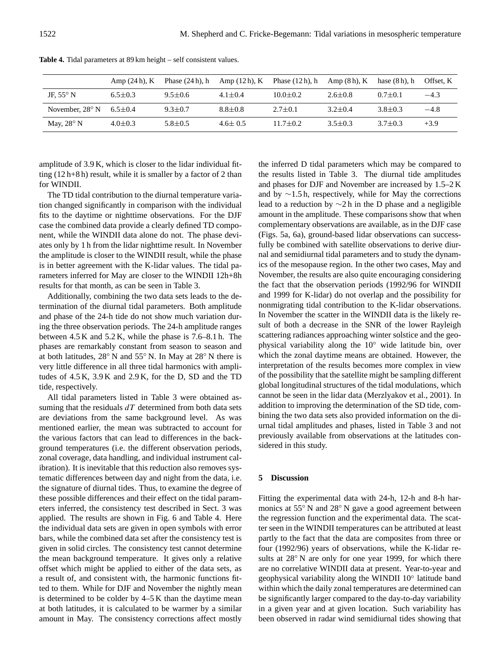|                          | Amp $(24h)$ , K | Phase $(24 h)$ , h Amp $(12 h)$ , K |               | Phase $(12 h)$ , h | Amp $(8h)$ , K | hase $(8h)$ . h | Offset. K |
|--------------------------|-----------------|-------------------------------------|---------------|--------------------|----------------|-----------------|-----------|
| JF, $55^{\circ}$ N       | $6.5 \pm 0.3$   | $9.5 \pm 0.6$                       | $4.1 \pm 0.4$ | $10.0 \pm 0.2$     | $2.6 \pm 0.8$  | $0.7 + 0.1$     | $-4.3$    |
| November, $28^{\circ}$ N | $6.5 \pm 0.4$   | $9.3 \pm 0.7$                       | $8.8 \pm 0.8$ | $2.7 \pm 0.1$      | $3.2 + 0.4$    | $3.8 \pm 0.3$   | $-4.8$    |
| May, $28^{\circ}$ N      | $4.0 \pm 0.3$   | $5.8 \pm 0.5$                       | $4.6 \pm 0.5$ | $11.7 \pm 0.2$     | $3.5 \pm 0.3$  | $3.7 + 0.3$     | $+3.9$    |

**Table 4.** Tidal parameters at 89 km height – self consistent values.

amplitude of 3.9 K, which is closer to the lidar individual fitting (12 h+8 h) result, while it is smaller by a factor of 2 than for WINDII.

The TD tidal contribution to the diurnal temperature variation changed significantly in comparison with the individual fits to the daytime or nighttime observations. For the DJF case the combined data provide a clearly defined TD component, while the WINDII data alone do not. The phase deviates only by 1 h from the lidar nighttime result. In November the amplitude is closer to the WINDII result, while the phase is in better agreement with the K-lidar values. The tidal parameters inferred for May are closer to the WINDII 12h+8h results for that month, as can be seen in Table 3.

Additionally, combining the two data sets leads to the determination of the diurnal tidal parameters. Both amplitude and phase of the 24-h tide do not show much variation during the three observation periods. The 24-h amplitude ranges between 4.5 K and 5.2 K, while the phase is 7.6–8.1 h. The phases are remarkably constant from season to season and at both latitudes, 28◦ N and 55◦ N. In May at 28◦ N there is very little difference in all three tidal harmonics with amplitudes of 4.5 K, 3.9 K and 2.9 K, for the D, SD and the TD tide, respectively.

All tidal parameters listed in Table 3 were obtained assuming that the residuals  $dT$  determined from both data sets are deviations from the same background level. As was mentioned earlier, the mean was subtracted to account for the various factors that can lead to differences in the background temperatures (i.e. the different observation periods, zonal coverage, data handling, and individual instrument calibration). It is inevitable that this reduction also removes systematic differences between day and night from the data, i.e. the signature of diurnal tides. Thus, to examine the degree of these possible differences and their effect on the tidal parameters inferred, the consistency test described in Sect. 3 was applied. The results are shown in Fig. 6 and Table 4. Here the individual data sets are given in open symbols with error bars, while the combined data set after the consistency test is given in solid circles. The consistency test cannot determine the mean background temperature. It gives only a relative offset which might be applied to either of the data sets, as a result of, and consistent with, the harmonic functions fitted to them. While for DJF and November the nightly mean is determined to be colder by  $4-5$  K than the daytime mean at both latitudes, it is calculated to be warmer by a similar amount in May. The consistency corrections affect mostly the inferred D tidal parameters which may be compared to the results listed in Table 3. The diurnal tide amplitudes and phases for DJF and November are increased by 1.5–2 K and by ∼1.5 h, respectively, while for May the corrections lead to a reduction by ∼2 h in the D phase and a negligible amount in the amplitude. These comparisons show that when complementary observations are available, as in the DJF case (Figs. 5a, 6a), ground-based lidar observations can successfully be combined with satellite observations to derive diurnal and semidiurnal tidal parameters and to study the dynamics of the mesopause region. In the other two cases, May and November, the results are also quite encouraging considering the fact that the observation periods (1992/96 for WINDII and 1999 for K-lidar) do not overlap and the possibility for nonmigrating tidal contribution to the K-lidar observations. In November the scatter in the WINDII data is the likely result of both a decrease in the SNR of the lower Rayleigh scattering radiances approaching winter solstice and the geophysical variability along the 10◦ wide latitude bin, over which the zonal daytime means are obtained. However, the interpretation of the results becomes more complex in view of the possibility that the satellite might be sampling different global longitudinal structures of the tidal modulations, which cannot be seen in the lidar data (Merzlyakov et al., 2001). In addition to improving the determination of the SD tide, combining the two data sets also provided information on the diurnal tidal amplitudes and phases, listed in Table 3 and not previously available from observations at the latitudes considered in this study.

## **5 Discussion**

Fitting the experimental data with 24-h, 12-h and 8-h harmonics at 55<sup>°</sup> N and 28<sup>°</sup> N gave a good agreement between the regression function and the experimental data. The scatter seen in the WINDII temperatures can be attributed at least partly to the fact that the data are composites from three or four (1992/96) years of observations, while the K-lidar results at 28<sup>°</sup> N are only for one year 1999, for which there are no correlative WINDII data at present. Year-to-year and geophysical variability along the WINDII 10◦ latitude band within which the daily zonal temperatures are determined can be significantly larger compared to the day-to-day variability in a given year and at given location. Such variability has been observed in radar wind semidiurnal tides showing that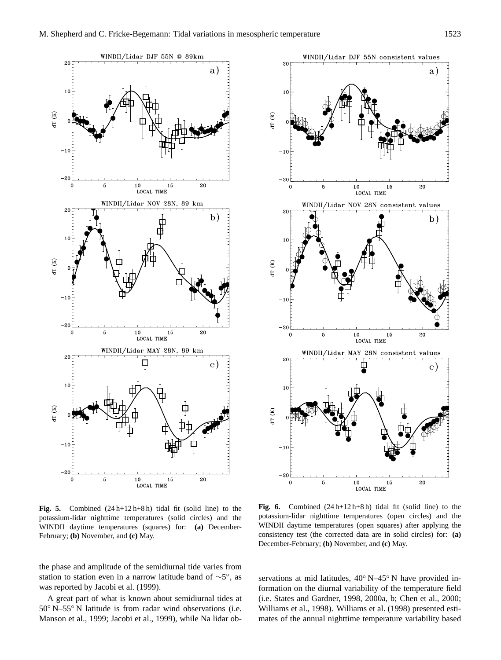

**Fig. 5.** Combined (24 h+12 h+8 h) tidal fit (solid line) to the potassium-lidar nighttime temperatures (solid circles) and the WINDII daytime temperatures (squares) for: **(a)** December-February; **(b)** November, and **(c)** May.

the phase and amplitude of the semidiurnal tide varies from station to station even in a narrow latitude band of  $\sim$ 5°, as was reported by Jacobi et al. (1999).

A great part of what is known about semidiurnal tides at 50◦ N–55◦ N latitude is from radar wind observations (i.e. Manson et al., 1999; Jacobi et al., 1999), while Na lidar ob-



**Fig. 6.** Combined (24 h+12 h+8 h) tidal fit (solid line) to the potassium-lidar nighttime temperatures (open circles) and the WINDII daytime temperatures (open squares) after applying the consistency test (the corrected data are in solid circles) for: **(a)** December-February; **(b)** November, and **(c)** May.

servations at mid latitudes,  $40°$  N–45° N have provided information on the diurnal variability of the temperature field (i.e. States and Gardner, 1998, 2000a, b; Chen et al., 2000; Williams et al., 1998). Williams et al. (1998) presented estimates of the annual nighttime temperature variability based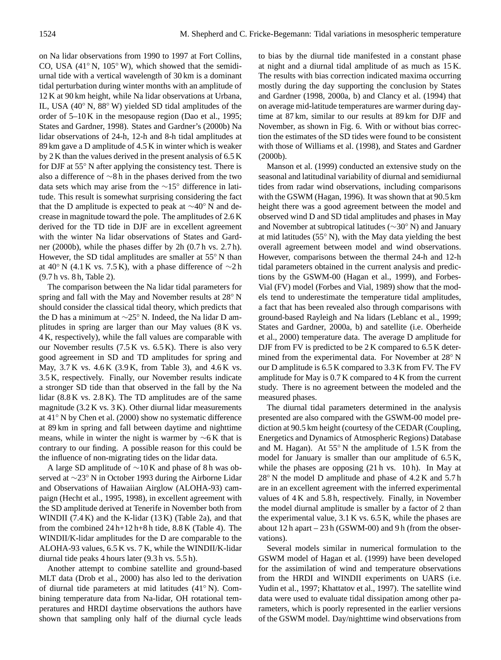on Na lidar observations from 1990 to 1997 at Fort Collins, CO, USA (41◦ N, 105◦ W), which showed that the semidiurnal tide with a vertical wavelength of 30 km is a dominant tidal perturbation during winter months with an amplitude of 12 K at 90 km height, while Na lidar observations at Urbana, IL, USA (40◦ N, 88◦ W) yielded SD tidal amplitudes of the order of 5–10 K in the mesopause region (Dao et al., 1995; States and Gardner, 1998). States and Gardner's (2000b) Na lidar observations of 24-h, 12-h and 8-h tidal amplitudes at 89 km gave a D amplitude of 4.5 K in winter which is weaker by 2 K than the values derived in the present analysis of 6.5 K for DJF at 55<sup>°</sup> N after applying the consistency test. There is also a difference of ∼8 h in the phases derived from the two data sets which may arise from the ∼15◦ difference in latitude. This result is somewhat surprising considering the fact that the D amplitude is expected to peak at ∼40◦ N and decrease in magnitude toward the pole. The amplitudes of 2.6 K derived for the TD tide in DJF are in excellent agreement with the winter Na lidar observations of States and Gardner (2000b), while the phases differ by 2h (0.7 h vs. 2.7 h). However, the SD tidal amplitudes are smaller at 55◦ N than at 40° N (4.1 K vs. 7.5 K), with a phase difference of  $\sim$ 2 h (9.7 h vs. 8 h, Table 2).

The comparison between the Na lidar tidal parameters for spring and fall with the May and November results at 28° N should consider the classical tidal theory, which predicts that the D has a minimum at ∼25◦ N. Indeed, the Na lidar D amplitudes in spring are larger than our May values (8 K vs. 4 K, respectively), while the fall values are comparable with our November results (7.5 K vs. 6.5 K). There is also very good agreement in SD and TD amplitudes for spring and May, 3.7 K vs. 4.6 K (3.9 K, from Table 3), and 4.6 K vs. 3.5 K, respectively. Finally, our November results indicate a stronger SD tide than that observed in the fall by the Na lidar (8.8 K vs. 2.8 K). The TD amplitudes are of the same magnitude (3.2 K vs. 3 K). Other diurnal lidar measurements at 41◦ N by Chen et al. (2000) show no systematic difference at 89 km in spring and fall between daytime and nighttime means, while in winter the night is warmer by ∼6 K that is contrary to our finding. A possible reason for this could be the influence of non-migrating tides on the lidar data.

A large SD amplitude of ∼10 K and phase of 8 h was observed at ∼23◦ N in October 1993 during the Airborne Lidar and Observations of Hawaiian Airglow (ALOHA-93) campaign (Hecht et al., 1995, 1998), in excellent agreement with the SD amplitude derived at Tenerife in November both from WINDII (7.4 K) and the K-lidar (13 K) (Table 2a), and that from the combined  $24 h+12 h+8 h$  tide,  $8.8 K$  (Table 4). The WINDII/K-lidar amplitudes for the D are comparable to the ALOHA-93 values, 6.5 K vs. 7 K, while the WINDII/K-lidar diurnal tide peaks 4 hours later (9.3 h vs. 5.5 h).

Another attempt to combine satellite and ground-based MLT data (Drob et al., 2000) has also led to the derivation of diurnal tide parameters at mid latitudes (41◦ N). Combining temperature data from Na-lidar, OH rotational temperatures and HRDI daytime observations the authors have shown that sampling only half of the diurnal cycle leads to bias by the diurnal tide manifested in a constant phase at night and a diurnal tidal amplitude of as much as 15 K. The results with bias correction indicated maxima occurring mostly during the day supporting the conclusion by States and Gardner (1998, 2000a, b) and Clancy et al. (1994) that on average mid-latitude temperatures are warmer during daytime at 87 km, similar to our results at 89 km for DJF and November, as shown in Fig. 6. With or without bias correction the estimates of the SD tides were found to be consistent with those of Williams et al. (1998), and States and Gardner (2000b).

Manson et al. (1999) conducted an extensive study on the seasonal and latitudinal variability of diurnal and semidiurnal tides from radar wind observations, including comparisons with the GSWM (Hagan, 1996). It was shown that at 90.5 km height there was a good agreement between the model and observed wind D and SD tidal amplitudes and phases in May and November at subtropical latitudes (∼30◦ N) and January at mid latitudes  $(55° N)$ , with the May data yielding the best overall agreement between model and wind observations. However, comparisons between the thermal 24-h and 12-h tidal parameters obtained in the current analysis and predictions by the GSWM-00 (Hagan et al., 1999), and Forbes-Vial (FV) model (Forbes and Vial, 1989) show that the models tend to underestimate the temperature tidal amplitudes, a fact that has been revealed also through comparisons with ground-based Rayleigh and Na lidars (Leblanc et al., 1999; States and Gardner, 2000a, b) and satellite (i.e. Oberheide et al., 2000) temperature data. The average D amplitude for DJF from FV is predicted to be 2 K compared to 6.5 K determined from the experimental data. For November at 28◦ N our D amplitude is 6.5 K compared to 3.3 K from FV. The FV amplitude for May is 0.7 K compared to 4 K from the current study. There is no agreement between the modeled and the measured phases.

The diurnal tidal parameters determined in the analysis presented are also compared with the GSWM-00 model prediction at 90.5 km height (courtesy of the CEDAR (Coupling, Energetics and Dynamics of Atmospheric Regions) Database and M. Hagan). At  $55^{\circ}$  N the amplitude of  $1.5$  K from the model for January is smaller than our amplitude of 6.5 K, while the phases are opposing  $(21 h vs. 10 h)$ . In May at 28◦ N the model D amplitude and phase of 4.2 K and 5.7 h are in an excellent agreement with the inferred experimental values of 4 K and 5.8 h, respectively. Finally, in November the model diurnal amplitude is smaller by a factor of 2 than the experimental value, 3.1 K vs. 6.5 K, while the phases are about  $12 h$  apart  $- 23 h$  (GSWM-00) and 9h (from the observations).

Several models similar in numerical formulation to the GSWM model of Hagan et al. (1999) have been developed for the assimilation of wind and temperature observations from the HRDI and WINDII experiments on UARS (i.e. Yudin et al., 1997; Khattatov et al., 1997). The satellite wind data were used to evaluate tidal dissipation among other parameters, which is poorly represented in the earlier versions of the GSWM model. Day/nighttime wind observations from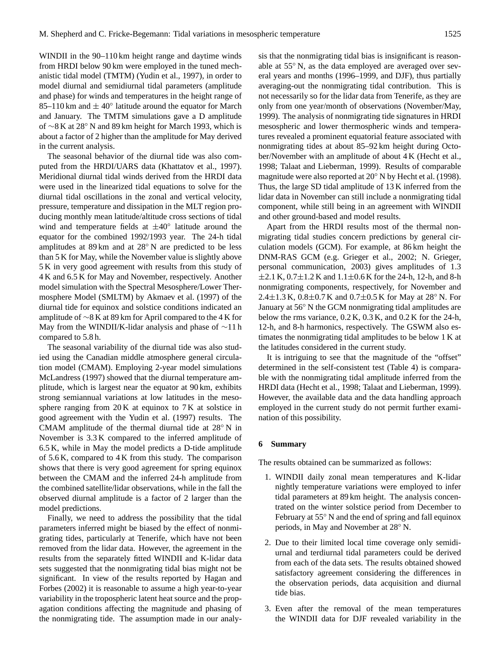WINDII in the 90–110 km height range and daytime winds from HRDI below 90 km were employed in the tuned mechanistic tidal model (TMTM) (Yudin et al., 1997), in order to model diurnal and semidiurnal tidal parameters (amplitude and phase) for winds and temperatures in the height range of 85–110 km and  $\pm 40^{\circ}$  latitude around the equator for March and January. The TMTM simulations gave a D amplitude of ∼8 K at 28◦ N and 89 km height for March 1993, which is about a factor of 2 higher than the amplitude for May derived in the current analysis.

The seasonal behavior of the diurnal tide was also computed from the HRDI/UARS data (Khattatov et al., 1997). Meridional diurnal tidal winds derived from the HRDI data were used in the linearized tidal equations to solve for the diurnal tidal oscillations in the zonal and vertical velocity, pressure, temperature and dissipation in the MLT region producing monthly mean latitude/altitude cross sections of tidal wind and temperature fields at  $\pm 40^\circ$  latitude around the equator for the combined 1992/1993 year. The 24-h tidal amplitudes at 89 km and at 28◦ N are predicted to be less than 5 K for May, while the November value is slightly above 5 K in very good agreement with results from this study of 4 K and 6.5 K for May and November, respectively. Another model simulation with the Spectral Mesosphere/Lower Thermosphere Model (SMLTM) by Akmaev et al. (1997) of the diurnal tide for equinox and solstice conditions indicated an amplitude of ∼8 K at 89 km for April compared to the 4 K for May from the WINDII/K-lidar analysis and phase of ∼11 h compared to 5.8 h.

The seasonal variability of the diurnal tide was also studied using the Canadian middle atmosphere general circulation model (CMAM). Employing 2-year model simulations McLandress (1997) showed that the diurnal temperature amplitude, which is largest near the equator at 90 km, exhibits strong semiannual variations at low latitudes in the mesosphere ranging from 20 K at equinox to 7 K at solstice in good agreement with the Yudin et al. (1997) results. The CMAM amplitude of the thermal diurnal tide at 28◦ N in November is 3.3 K compared to the inferred amplitude of 6.5 K, while in May the model predicts a D-tide amplitude of 5.6 K, compared to 4 K from this study. The comparison shows that there is very good agreement for spring equinox between the CMAM and the inferred 24-h amplitude from the combined satellite/lidar observations, while in the fall the observed diurnal amplitude is a factor of 2 larger than the model predictions.

Finally, we need to address the possibility that the tidal parameters inferred might be biased by the effect of nonmigrating tides, particularly at Tenerife, which have not been removed from the lidar data. However, the agreement in the results from the separately fitted WINDII and K-lidar data sets suggested that the nonmigrating tidal bias might not be significant. In view of the results reported by Hagan and Forbes (2002) it is reasonable to assume a high year-to-year variability in the tropospheric latent heat source and the propagation conditions affecting the magnitude and phasing of the nonmigrating tide. The assumption made in our analysis that the nonmigrating tidal bias is insignificant is reasonable at 55◦ N, as the data employed are averaged over several years and months (1996–1999, and DJF), thus partially averaging-out the nonmigrating tidal contribution. This is not necessarily so for the lidar data from Tenerife, as they are only from one year/month of observations (November/May, 1999). The analysis of nonmigrating tide signatures in HRDI mesospheric and lower thermospheric winds and temperatures revealed a prominent equatorial feature associated with nonmigrating tides at about 85–92 km height during October/November with an amplitude of about 4 K (Hecht et al., 1998; Talaat and Lieberman, 1999). Results of comparable magnitude were also reported at 20◦ N by Hecht et al. (1998). Thus, the large SD tidal amplitude of 13 K inferred from the lidar data in November can still include a nonmigrating tidal component, while still being in an agreement with WINDII and other ground-based and model results.

Apart from the HRDI results most of the thermal nonmigrating tidal studies concern predictions by general circulation models (GCM). For example, at 86 km height the DNM-RAS GCM (e.g. Grieger et al., 2002; N. Grieger, personal communication, 2003) gives amplitudes of 1.3  $\pm$ 2.1 K, 0.7 $\pm$ 1.2 K and 1.1 $\pm$ 0.6 K for the 24-h, 12-h, and 8-h nonmigrating components, respectively, for November and 2.4 $\pm$ 1.3 K, 0.8 $\pm$ 0.7 K and 0.7 $\pm$ 0.5 K for May at 28 $\degree$  N. For January at 56◦ N the GCM nonmigrating tidal amplitudes are below the rms variance, 0.2 K, 0.3 K, and 0.2 K for the 24-h, 12-h, and 8-h harmonics, respectively. The GSWM also estimates the nonmigrating tidal amplitudes to be below 1 K at the latitudes considered in the current study.

It is intriguing to see that the magnitude of the "offset" determined in the self-consistent test (Table 4) is comparable with the nonmigrating tidal amplitude inferred from the HRDI data (Hecht et al., 1998; Talaat and Lieberman, 1999). However, the available data and the data handling approach employed in the current study do not permit further examination of this possibility.

## **6 Summary**

The results obtained can be summarized as follows:

- 1. WINDII daily zonal mean temperatures and K-lidar nightly temperature variations were employed to infer tidal parameters at 89 km height. The analysis concentrated on the winter solstice period from December to February at 55◦ N and the end of spring and fall equinox periods, in May and November at 28◦ N.
- 2. Due to their limited local time coverage only semidiurnal and terdiurnal tidal parameters could be derived from each of the data sets. The results obtained showed satisfactory agreement considering the differences in the observation periods, data acquisition and diurnal tide bias.
- 3. Even after the removal of the mean temperatures the WINDII data for DJF revealed variability in the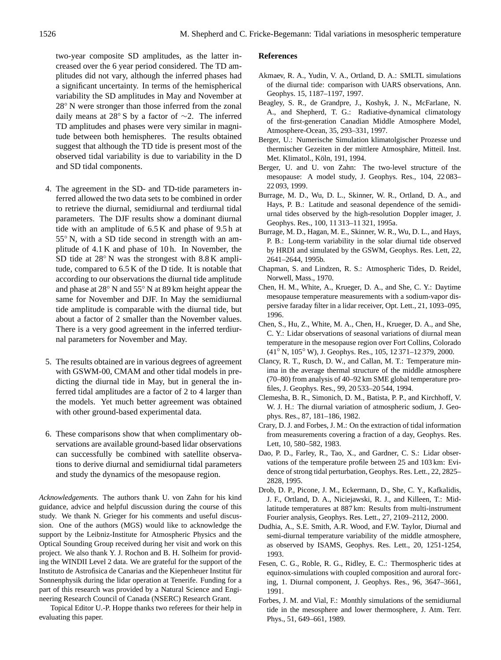two-year composite SD amplitudes, as the latter increased over the 6 year period considered. The TD amplitudes did not vary, although the inferred phases had a significant uncertainty. In terms of the hemispherical variability the SD amplitudes in May and November at 28◦ N were stronger than those inferred from the zonal daily means at 28◦ S by a factor of ∼2. The inferred TD amplitudes and phases were very similar in magnitude between both hemispheres. The results obtained suggest that although the TD tide is present most of the observed tidal variability is due to variability in the D and SD tidal components.

- 4. The agreement in the SD- and TD-tide parameters inferred allowed the two data sets to be combined in order to retrieve the diurnal, semidiurnal and terdiurnal tidal parameters. The DJF results show a dominant diurnal tide with an amplitude of 6.5 K and phase of 9.5 h at 55◦ N, with a SD tide second in strength with an amplitude of 4.1 K and phase of 10 h. In November, the SD tide at 28◦ N was the strongest with 8.8 K amplitude, compared to 6.5 K of the D tide. It is notable that according to our observations the diurnal tide amplitude and phase at 28◦ N and 55◦ N at 89 km height appear the same for November and DJF. In May the semidiurnal tide amplitude is comparable with the diurnal tide, but about a factor of 2 smaller than the November values. There is a very good agreement in the inferred terdiurnal parameters for November and May.
- 5. The results obtained are in various degrees of agreement with GSWM-00, CMAM and other tidal models in predicting the diurnal tide in May, but in general the inferred tidal amplitudes are a factor of 2 to 4 larger than the models. Yet much better agreement was obtained with other ground-based experimental data.
- 6. These comparisons show that when complimentary observations are available ground-based lidar observations can successfully be combined with satellite observations to derive diurnal and semidiurnal tidal parameters and study the dynamics of the mesopause region.

*Acknowledgements.* The authors thank U. von Zahn for his kind guidance, advice and helpful discussion during the course of this study. We thank N. Grieger for his comments and useful discussion. One of the authors (MGS) would like to acknowledge the support by the Leibniz-Institute for Atmospheric Physics and the Optical Sounding Group received during her visit and work on this project. We also thank Y. J. Rochon and B. H. Solheim for providing the WINDII Level 2 data. We are grateful for the support of the Instituto de Astrofisica de Canarias and the Kiepenheuer Institut fur¨ Sonnenphysik during the lidar operation at Tenerife. Funding for a part of this research was provided by a Natural Science and Engineering Research Council of Canada (NSERC) Research Grant.

Topical Editor U.-P. Hoppe thanks two referees for their help in evaluating this paper.

## **References**

- Akmaev, R. A., Yudin, V. A., Ortland, D. A.: SMLTL simulations of the diurnal tide: comparison with UARS observations, Ann. Geophys. 15, 1187–1197, 1997.
- Beagley, S. R., de Grandpre, J., Koshyk, J. N., McFarlane, N. A., and Shepherd, T. G.: Radiative-dynamical climatology of the first-generation Canadian Middle Atmosphere Model, Atmosphere-Ocean, 35, 293–331, 1997.
- Berger, U.: Numerische Simulation klimatolgischer Prozesse und thermischer Gezeiten in der mittlere Atmosphäre, Mitteil. Inst. Met. Klimatol., Köln, 191, 1994.
- Berger, U. and U. von Zahn: The two-level structure of the mesopause: A model study, J. Geophys. Res., 104, 22 083– 22 093, 1999.
- Burrage, M. D., Wu, D. L., Skinner, W. R., Ortland, D. A., and Hays, P. B.: Latitude and seasonal dependence of the semidiurnal tides observed by the high-resolution Doppler imager, J. Geophys. Res., 100, 11 313–11 321, 1995a.
- Burrage, M. D., Hagan, M. E., Skinner, W. R., Wu, D. L., and Hays, P. B.: Long-term variability in the solar diurnal tide observed by HRDI and simulated by the GSWM, Geophys. Res. Lett, 22, 2641–2644, 1995b.
- Chapman, S. and Lindzen, R. S.: Atmospheric Tides, D. Reidel, Norwell, Mass., 1970.
- Chen, H. M., White, A., Krueger, D. A., and She, C. Y.: Daytime mesopause temperature measurements with a sodium-vapor dispersive faraday filter in a lidar receiver, Opt. Lett., 21, 1093–095, 1996.
- Chen, S., Hu, Z., White, M. A., Chen, H., Krueger, D. A., and She, C. Y.: Lidar observations of seasonal variations of diurnal mean temperature in the mesopause region over Fort Collins, Colorado (41◦ N, 105◦ W), J. Geophys. Res., 105, 12 371–12 379, 2000.
- Clancy, R. T., Rusch, D. W., and Callan, M. T.: Temperature minima in the average thermal structure of the middle atmosphere (70–80) from analysis of 40–92 km SME global temperature profiles, J. Geophys. Res., 99, 20 533–20 544, 1994.
- Clemesha, B. R., Simonich, D. M., Batista, P. P., and Kirchhoff, V. W. J. H.: The diurnal variation of atmospheric sodium, J. Geophys. Res., 87, 181–186, 1982.
- Crary, D. J. and Forbes, J. M.: On the extraction of tidal information from measurements covering a fraction of a day, Geophys. Res. Lett, 10, 580–582, 1983.
- Dao, P. D., Farley, R., Tao, X., and Gardner, C. S.: Lidar observations of the temperature profile between 25 and 103 km: Evidence of strong tidal perturbation, Geophys. Res. Lett., 22, 2825– 2828, 1995.
- Drob, D. P., Picone, J. M., Eckermann, D., She, C. Y., Kafkalidis, J. F., Ortland, D. A., Niciejawski, R. J., and Killeen, T.: Midlatitude temperatures at 887 km: Results from multi-instrument Fourier analysis, Geophys. Res. Lett., 27, 2109–2112, 2000.
- Dudhia, A., S.E. Smith, A.R. Wood, and F.W. Taylor, Diurnal and semi-diurnal temperature variability of the middle atmosphere, as observed by ISAMS, Geophys. Res. Lett., 20, 1251-1254, 1993.
- Fesen, C. G., Roble, R. G., Ridley, E. C.: Thermospheric tides at equinox-simulations with coupled composition and auroral forcing, 1. Diurnal component, J. Geophys. Res., 96, 3647–3661, 1991.
- Forbes, J. M. and Vial, F.: Monthly simulations of the semidiurnal tide in the mesosphere and lower thermosphere, J. Atm. Terr. Phys., 51, 649–661, 1989.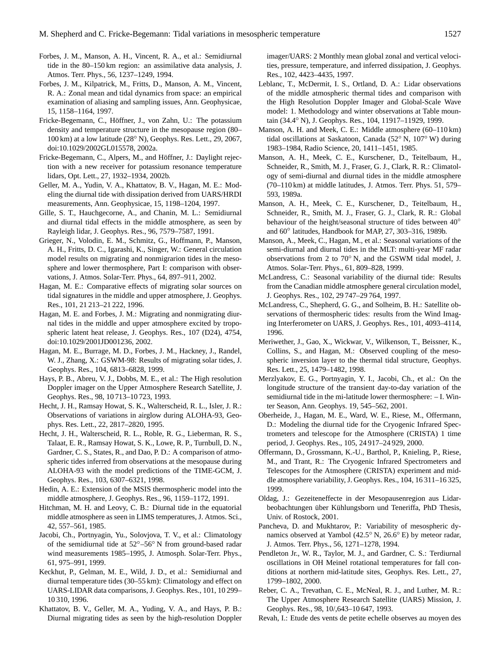- Forbes, J. M., Manson, A. H., Vincent, R. A., et al.: Semidiurnal tide in the 80–150 km region: an assimilative data analysis, J. Atmos. Terr. Phys., 56, 1237–1249, 1994.
- Forbes, J. M., Kilpatrick, M., Fritts, D., Manson, A. M., Vincent, R. A.: Zonal mean and tidal dynamics from space: an empirical examination of aliasing and sampling issues, Ann. Geophysicae, 15, 1158–1164, 1997.
- Fricke-Begemann, C., Höffner, J., von Zahn, U.: The potassium density and temperature structure in the mesopause region (80– 100 km) at a low latitude (28◦ N), Geophys. Res. Lett., 29, 2067, doi:10.1029/2002GL015578, 2002a.
- Fricke-Begemann, C., Alpers, M., and Höffner, J.: Daylight rejection with a new receiver for potassium resonance temperature lidars, Opt. Lett., 27, 1932–1934, 2002b.
- Geller, M. A., Yudin, V. A., Khattatov, B. V., Hagan, M. E.: Modeling the diurnal tide with dissipation derived from UARS/HRDI measurements, Ann. Geophysicae, 15, 1198–1204, 1997.
- Gille, S. T., Hauchgecorne, A., and Chanin, M. L.: Semidiurnal and diurnal tidal effects in the middle atmosphere, as seen by Rayleigh lidar, J. Geophys. Res., 96, 7579–7587, 1991.
- Grieger, N., Volodin, E. M., Schmitz, G., Hoffmann, P., Manson, A. H., Fritts, D. C., Igarashi, K., Singer, W.: General circulation model results on migrating and nonmigrarion tides in the mesosphere and lower thermosphere, Part I: comparison with observations, J. Atmos. Solar-Terr. Phys., 64, 897–911, 2002.
- Hagan, M. E.: Comparative effects of migrating solar sources on tidal signatures in the middle and upper atmosphere, J. Geophys. Res., 101, 21 213–21 222, 1996.
- Hagan, M. E. and Forbes, J. M.: Migrating and nonmigrating diurnal tides in the middle and upper atmosphere excited by tropospheric latent heat release, J. Geophys. Res., 107 (D24), 4754, doi:10.1029/2001JD001236, 2002.
- Hagan, M. E., Burrage, M. D., Forbes, J. M., Hackney, J., Randel, W. J., Zhang, X.: GSWM-98: Results of migrating solar tides, J. Geophys. Res., 104, 6813–6828, 1999.
- Hays, P. B., Abreu, V. J., Dobbs, M. E., et al.: The High resolution Doppler imager on the Upper Atmosphere Research Satellite, J. Geophys. Res., 98, 10 713–10 723, 1993.
- Hecht, J. H., Ramsay Howat, S. K., Walterscheid, R. L., Isler, J. R.: Observations of variations in airglow during ALOHA-93, Geophys. Res. Lett., 22, 2817–2820, 1995.
- Hecht, J. H., Walterscheid, R. L., Roble, R. G., Lieberman, R. S., Talaat, E. R., Ramsay Howat, S. K., Lowe, R. P., Turnbull, D. N., Gardner, C. S., States, R., and Dao, P. D.: A comparison of atmospheric tides inferred from observations at the mesopause during ALOHA-93 with the model predictions of the TIME-GCM, J. Geophys. Res., 103, 6307–6321, 1998.
- Hedin, A. E.: Extension of the MSIS thermospheric model into the middle atmosphere, J. Geophys. Res., 96, 1159–1172, 1991.
- Hitchman, M. H. and Leovy, C. B.: Diurnal tide in the equatorial middle atmosphere as seen in LIMS temperatures, J. Atmos. Sci., 42, 557–561, 1985.
- Jacobi, Ch., Portnyagin, Yu., Solovjova, T. V., et al.: Climatology of the semidiurnal tide at 52◦–56◦ N from ground-based radar wind measurements 1985–1995, J. Atmosph. Solar-Terr. Phys., 61, 975–991, 1999.
- Keckhut, P., Gelman, M. E., Wild, J. D., et al.: Semidiurnal and diurnal temperature tides (30–55 km): Climatology and effect on UARS-LIDAR data comparisons, J. Geophys. Res., 101, 10 299– 10 310, 1996.
- Khattatov, B. V., Geller, M. A., Yuding, V. A., and Hays, P. B.: Diurnal migrating tides as seen by the high-resolution Doppler

imager/UARS: 2 Monthly mean global zonal and vertical velocities, pressure, temperature, and inferred dissipation, J. Geophys. Res., 102, 4423–4435, 1997.

- Leblanc, T., McDermit, I. S., Ortland, D. A.: Lidar observations of the middle atmospheric thermal tides and comparison with the High Resolution Doppler Imager and Global-Scale Wave model: 1. Methodology and winter observations at Table mountain (34.4◦ N), J. Geophys. Res., 104, 11917–11929, 1999.
- Manson, A. H. and Meek, C. E.: Middle atmosphere (60–110 km) tidal oscillations at Saskatoon, Canada (52◦ N, 107◦ W) during 1983–1984, Radio Science, 20, 1411–1451, 1985.
- Manson, A. H., Meek, C. E., Kurschener, D., Teitelbaum, H., Schneider, R., Smith, M. J., Fraser, G. J., Clark, R. R.: Climatology of semi-diurnal and diurnal tides in the middle atmosphere (70–110 km) at middle latitudes, J. Atmos. Terr. Phys. 51, 579– 593, 1989a.
- Manson, A. H., Meek, C. E., Kurschener, D., Teitelbaum, H., Schneider, R., Smith, M. J., Fraser, G. J., Clark, R. R.: Global behaviour of the height/seasonal structure of tides between 40<sup>°</sup> and 60◦ latitudes, Handbook for MAP, 27, 303–316, 1989b.
- Manson, A., Meek, C., Hagan, M., et al.: Seasonal variations of the semi-diurnal and diurnal tides in the MLT: multi-year MF radar observations from 2 to 70◦ N, and the GSWM tidal model, J. Atmos. Solar-Terr. Phys., 61, 809–828, 1999.
- McLandress, C.: Seasonal variability of the diurnal tide: Results from the Canadian middle atmosphere general circulation model, J. Geophys. Res., 102, 29 747–29 764, 1997.
- McLandress, C., Shepherd, G. G., and Solheim, B. H.: Satellite observations of thermospheric tides: results from the Wind Imaging Interferometer on UARS, J. Geophys. Res., 101, 4093–4114, 1996.
- Meriwether, J., Gao, X., Wickwar, V., Wilkenson, T., Beissner, K., Collins, S., and Hagan, M.: Observed coupling of the mesospheric inversion layer to the thermal tidal structure, Geophys. Res. Lett., 25, 1479–1482, 1998.
- Merzlyakov, E. G., Portnyagin, Y. I., Jacobi, Ch., et al.: On the longitude structure of the transient day-to-day variation of the semidiurnal tide in the mi-latitude lower thermosphere: – I. Winter Season, Ann. Geophys. 19, 545–562, 2001.
- Oberheide, J., Hagan, M. E., Ward, W. E., Riese, M., Offermann, D.: Modeling the diurnal tide for the Cryogenic Infrared Spectrometers and telescope for the Atmosphere (CRISTA) 1 time period, J. Geophys. Res., 105, 24 917–24 929, 2000.
- Offermann, D., Grossmann, K.-U., Barthol, P., Knieling, P., Riese, M., and Trant, R.: The Cryogenic Infrared Spectrometers and Telescopes for the Atmosphere (CRISTA) experiment and middle atmosphere variability, J. Geophys. Res., 104, 16 311–16 325, 1999.
- Oldag, J.: Gezeiteneffecte in der Mesopausenregion aus Lidarbeobachtungen über Kühlungsborn und Teneriffa, PhD Thesis, Univ. of Rostock, 2001.
- Pancheva, D. and Mukhtarov, P.: Variability of mesospheric dynamics observed at Yambol (42.5◦ N, 26.6◦ E) by meteor radar, J. Atmos. Terr. Phys., 56, 1271–1278, 1994.
- Pendleton Jr., W. R., Taylor, M. J., and Gardner, C. S.: Terdiurnal oscillations in OH Meinel rotational temperatures for fall conditions at northern mid-latitude sites, Geophys. Res. Lett., 27, 1799–1802, 2000.
- Reber, C. A., Trevathan, C. E., McNeal, R. J., and Luther, M. R.: The Upper Atmosphere Research Satellite (UARS) Mission, J. Geophys. Res., 98, 10/,643–10 647, 1993.
- Revah, I.: Etude des vents de petite echelle observes au moyen des